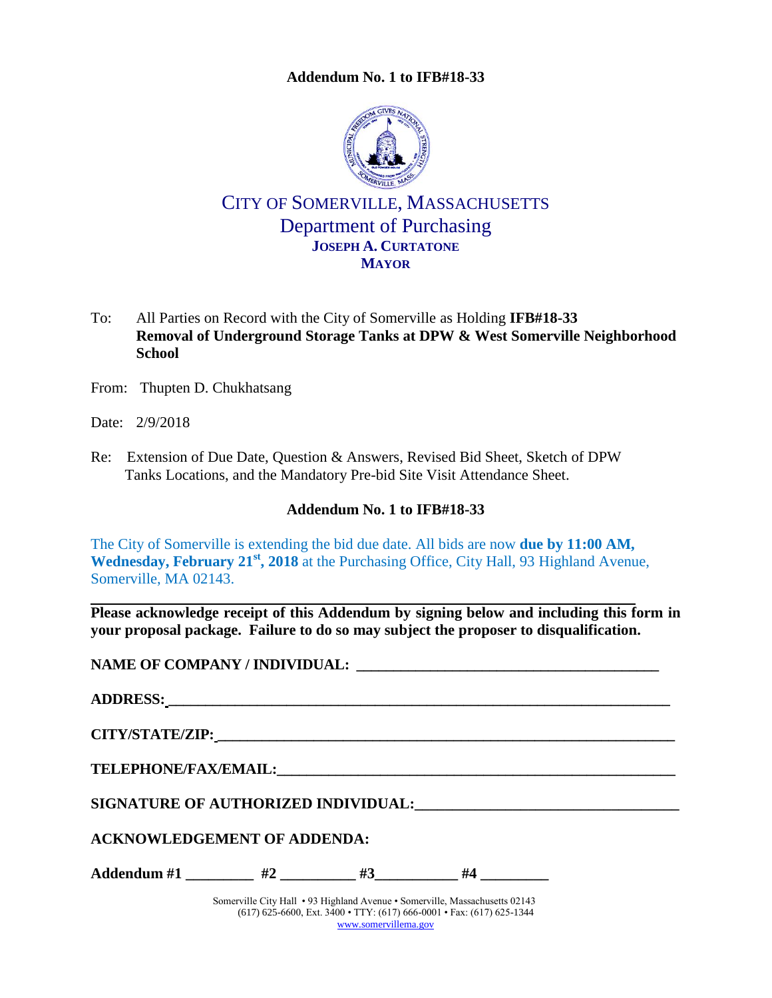### **Addendum No. 1 to IFB#18-33**

<span id="page-0-0"></span>

CITY OF SOMERVILLE, MASSACHUSETTS Department of Purchasing **JOSEPH A. CURTATONE MAYOR**

- To: All Parties on Record with the City of Somerville as Holding **IFB#18-33 Removal of Underground Storage Tanks at DPW & West Somerville Neighborhood School**
- From: Thupten D. Chukhatsang
- Date: 2/9/2018
- Re: Extension of Due Date, Question & Answers, Revised Bid Sheet, Sketch of DPW Tanks Locations, and the Mandatory Pre-bid Site Visit Attendance Sheet.

### **Addendum No. 1 to [IFB#18-33](#page-0-0)**

The City of Somerville is extending the bid due date. All bids are now **due by 11:00 AM, Wednesday, February 21st, 2018** at the Purchasing Office, City Hall, 93 Highland Avenue, Somerville, MA 02143.

**Please acknowledge receipt of this Addendum by signing below and including this form in your proposal package. Failure to do so may subject the proposer to disqualification.**

**NAME OF COMPANY / INDIVIDUAL: \_\_\_\_\_\_\_\_\_\_\_\_\_\_\_\_\_\_\_\_\_\_\_\_\_\_\_\_\_\_\_\_\_\_\_\_\_\_\_\_\_**

| ADDRESS: Latin Contract Contract Contract Contract Contract Contract Contract Contract Contract Contract Contract Contract Contract Contract Contract Contract Contract Contract Contract Contract Contract Contract Contract |  |  |  |  |  |  |
|-------------------------------------------------------------------------------------------------------------------------------------------------------------------------------------------------------------------------------|--|--|--|--|--|--|
|                                                                                                                                                                                                                               |  |  |  |  |  |  |
|                                                                                                                                                                                                                               |  |  |  |  |  |  |
|                                                                                                                                                                                                                               |  |  |  |  |  |  |
| <b>ACKNOWLEDGEMENT OF ADDENDA:</b>                                                                                                                                                                                            |  |  |  |  |  |  |
| Addendum #1 _________ #2 ________ #3 _______ #4 ________                                                                                                                                                                      |  |  |  |  |  |  |
|                                                                                                                                                                                                                               |  |  |  |  |  |  |

Somerville City Hall • 93 Highland Avenue • Somerville, Massachusetts 02143 (617) 625-6600, Ext. 3400 • TTY: (617) 666-0001 • Fax: (617) 625-1344 [www.somervillema.gov](http://www.somervillema.gov/)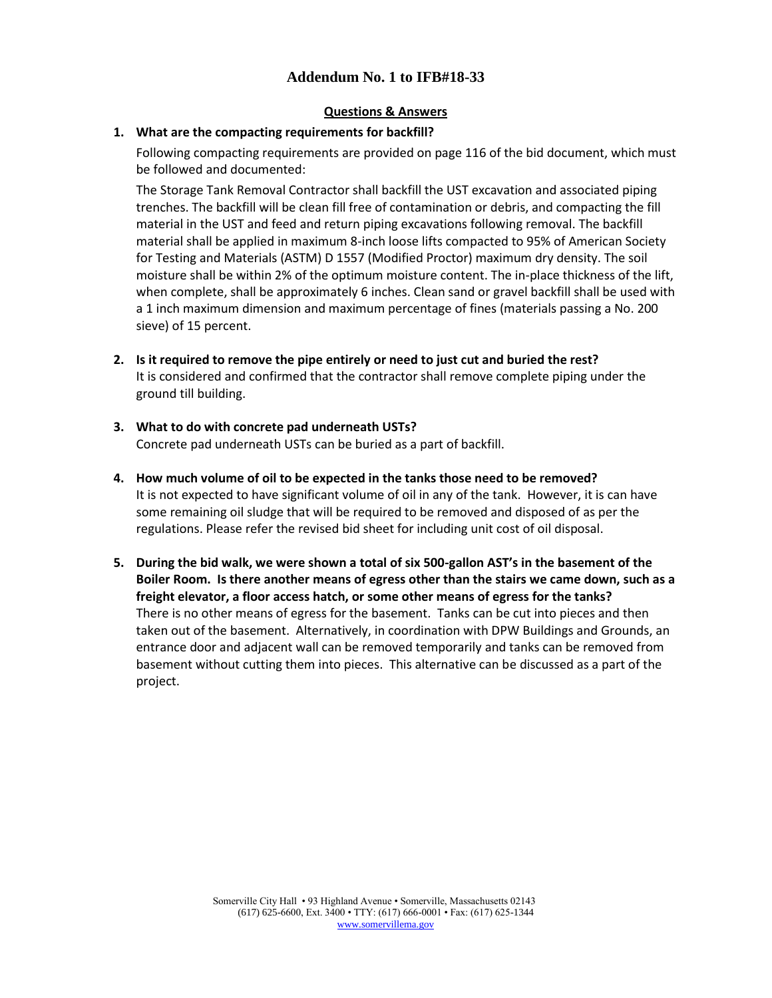## **Addendum No. 1 to IFB#18-33**

### **Questions & Answers**

### **1. What are the compacting requirements for backfill?**

Following compacting requirements are provided on page 116 of the bid document, which must be followed and documented:

The Storage Tank Removal Contractor shall backfill the UST excavation and associated piping trenches. The backfill will be clean fill free of contamination or debris, and compacting the fill material in the UST and feed and return piping excavations following removal. The backfill material shall be applied in maximum 8-inch loose lifts compacted to 95% of American Society for Testing and Materials (ASTM) D 1557 (Modified Proctor) maximum dry density. The soil moisture shall be within 2% of the optimum moisture content. The in-place thickness of the lift, when complete, shall be approximately 6 inches. Clean sand or gravel backfill shall be used with a 1 inch maximum dimension and maximum percentage of fines (materials passing a No. 200 sieve) of 15 percent.

**2. Is it required to remove the pipe entirely or need to just cut and buried the rest?**  It is considered and confirmed that the contractor shall remove complete piping under the ground till building.

## **3. What to do with concrete pad underneath USTs?**  Concrete pad underneath USTs can be buried as a part of backfill.

- **4. How much volume of oil to be expected in the tanks those need to be removed?**  It is not expected to have significant volume of oil in any of the tank. However, it is can have some remaining oil sludge that will be required to be removed and disposed of as per the regulations. Please refer the revised bid sheet for including unit cost of oil disposal.
- **5. During the bid walk, we were shown a total of six 500-gallon AST's in the basement of the Boiler Room. Is there another means of egress other than the stairs we came down, such as a freight elevator, a floor access hatch, or some other means of egress for the tanks?** There is no other means of egress for the basement. Tanks can be cut into pieces and then taken out of the basement. Alternatively, in coordination with DPW Buildings and Grounds, an entrance door and adjacent wall can be removed temporarily and tanks can be removed from basement without cutting them into pieces. This alternative can be discussed as a part of the project.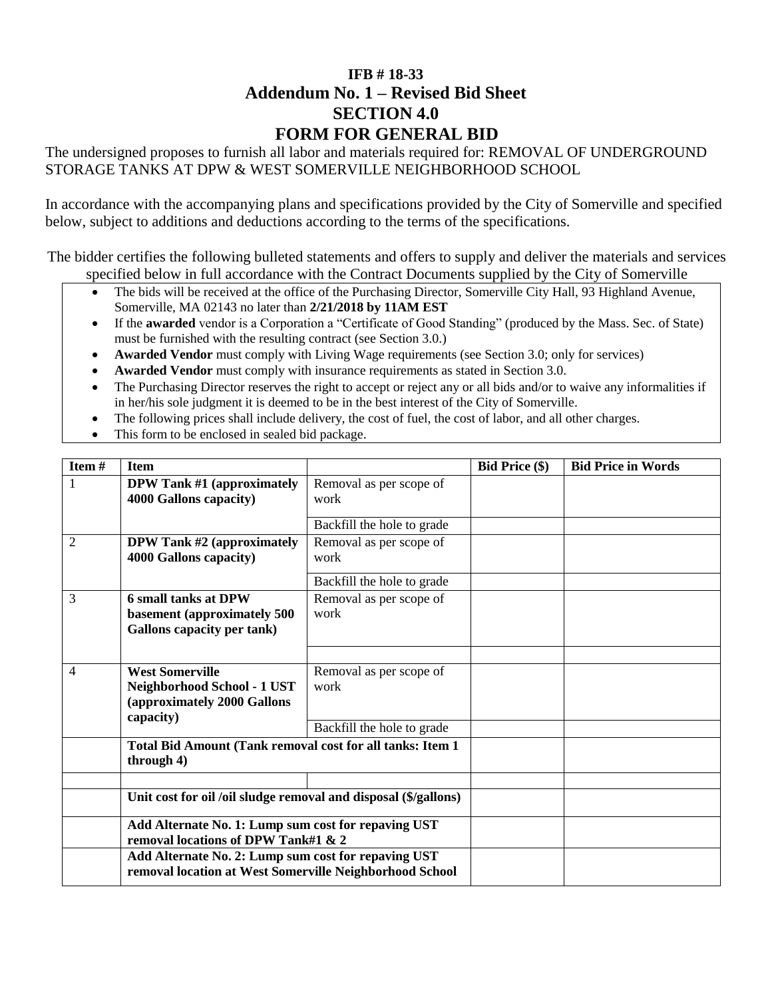## **[IFB # 18-33](#page--1-0) Addendum No. 1 – Revised Bid Sheet SECTION 4.0 FORM FOR GENERAL BID**

The undersigned proposes to furnish all labor and materials required for: [REMOVAL OF UNDERGROUND](#page--1-1)  [STORAGE TANKS AT DPW & WEST SOMERVILLE NEIGHBORHOOD SCHOOL](#page--1-1)

In accordance with the accompanying plans and specifications provided by the City of Somerville and specified below, subject to additions and deductions according to the terms of the specifications.

The bidder certifies the following bulleted statements and offers to supply and deliver the materials and services specified below in full accordance with the Contract Documents supplied by the City of Somerville

- The bids will be received at the office of the Purchasing Director, Somerville City Hall, 93 Highland Avenue, Somerville, MA 02143 no later than **2/21/2018 [by 11AM EST](#page--1-2)**
- If the **awarded** vendor is a Corporation a "Certificate of Good Standing" (produced by the Mass. Sec. of State) must be furnished with the resulting contract (see Section 3.0.)
- **Awarded Vendor** must comply with Living Wage requirements (see Section 3.0; only for services)
- **Awarded Vendor** must comply with insurance requirements as stated in Section 3.0.
- The Purchasing Director reserves the right to accept or reject any or all bids and/or to waive any informalities if in her/his sole judgment it is deemed to be in the best interest of the City of Somerville.
- The following prices shall include delivery, the cost of fuel, the cost of labor, and all other charges.
- This form to be enclosed in sealed bid package.

| Item#                                                                                                         | <b>Item</b>                                                                                                    |                                 | <b>Bid Price (\$)</b> | <b>Bid Price in Words</b> |
|---------------------------------------------------------------------------------------------------------------|----------------------------------------------------------------------------------------------------------------|---------------------------------|-----------------------|---------------------------|
| 1                                                                                                             | <b>DPW Tank #1 (approximately</b><br>4000 Gallons capacity)                                                    | Removal as per scope of<br>work |                       |                           |
|                                                                                                               |                                                                                                                | Backfill the hole to grade      |                       |                           |
| $\overline{2}$                                                                                                | <b>DPW Tank #2 (approximately</b><br>4000 Gallons capacity)                                                    | Removal as per scope of<br>work |                       |                           |
|                                                                                                               |                                                                                                                | Backfill the hole to grade      |                       |                           |
| 3                                                                                                             | <b>6 small tanks at DPW</b><br>basement (approximately 500<br><b>Gallons capacity per tank)</b>                | Removal as per scope of<br>work |                       |                           |
|                                                                                                               |                                                                                                                |                                 |                       |                           |
| <b>West Somerville</b><br>4<br><b>Neighborhood School - 1 UST</b><br>(approximately 2000 Gallons<br>capacity) |                                                                                                                | Removal as per scope of<br>work |                       |                           |
|                                                                                                               |                                                                                                                | Backfill the hole to grade      |                       |                           |
|                                                                                                               | Total Bid Amount (Tank removal cost for all tanks: Item 1<br>through 4)                                        |                                 |                       |                           |
|                                                                                                               |                                                                                                                |                                 |                       |                           |
|                                                                                                               | Unit cost for oil /oil sludge removal and disposal (\$/gallons)                                                |                                 |                       |                           |
|                                                                                                               | Add Alternate No. 1: Lump sum cost for repaving UST<br>removal locations of DPW Tank#1 & 2                     |                                 |                       |                           |
|                                                                                                               | Add Alternate No. 2: Lump sum cost for repaving UST<br>removal location at West Somerville Neighborhood School |                                 |                       |                           |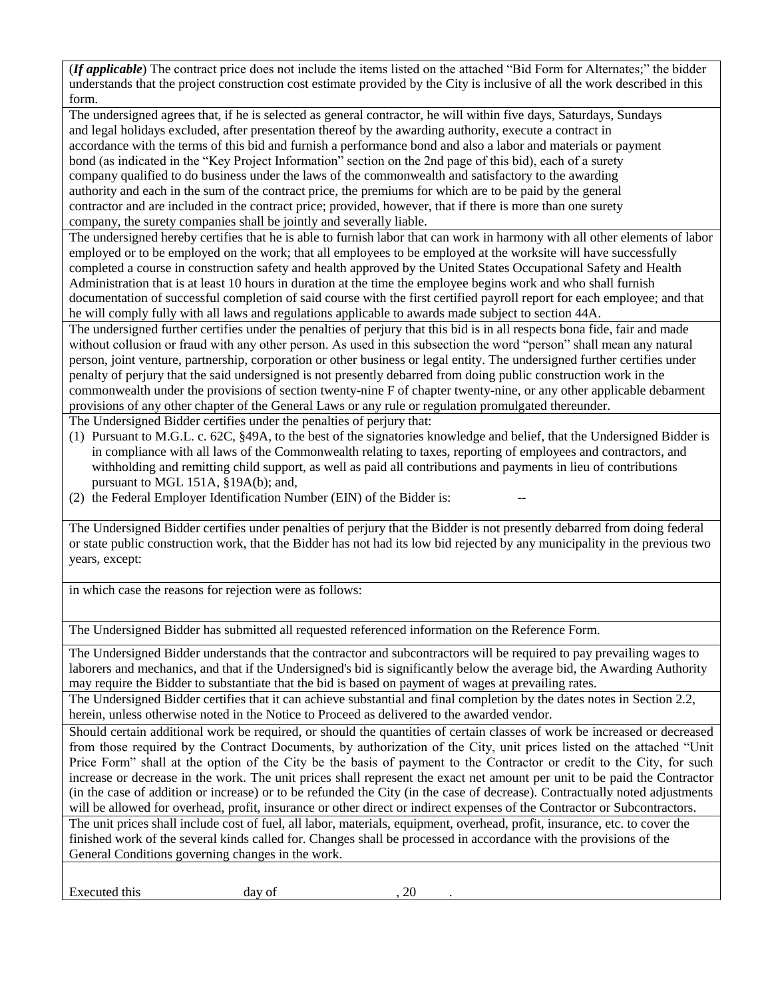(*If applicable*) The contract price does not include the items listed on the attached "Bid Form for Alternates;" the bidder understands that the project construction cost estimate provided by the City is inclusive of all the work described in this form.

The undersigned agrees that, if he is selected as general contractor, he will within five days, Saturdays, Sundays and legal holidays excluded, after presentation thereof by the awarding authority, execute a contract in accordance with the terms of this bid and furnish a performance bond and also a labor and materials or payment bond (as indicated in the "Key Project Information" section on the 2nd page of this bid), each of a surety company qualified to do business under the laws of the commonwealth and satisfactory to the awarding authority and each in the sum of the contract price, the premiums for which are to be paid by the general contractor and are included in the contract price; provided, however, that if there is more than one surety company, the surety companies shall be jointly and severally liable.

The undersigned hereby certifies that he is able to furnish labor that can work in harmony with all other elements of labor employed or to be employed on the work; that all employees to be employed at the worksite will have successfully completed a course in construction safety and health approved by the United States Occupational Safety and Health Administration that is at least 10 hours in duration at the time the employee begins work and who shall furnish documentation of successful completion of said course with the first certified payroll report for each employee; and that he will comply fully with all laws and regulations applicable to awards made subject to section 44A.

The undersigned further certifies under the penalties of perjury that this bid is in all respects bona fide, fair and made without collusion or fraud with any other person. As used in this subsection the word "person" shall mean any natural person, joint venture, partnership, corporation or other business or legal entity. The undersigned further certifies under penalty of perjury that the said undersigned is not presently debarred from doing public construction work in the commonwealth under the provisions of section twenty-nine F of chapter twenty-nine, or any other applicable debarment provisions of any other chapter of the General Laws or any rule or regulation promulgated thereunder.

The Undersigned Bidder certifies under the penalties of perjury that:

- (1) Pursuant to M.G.L. c. 62C, §49A, to the best of the signatories knowledge and belief, that the Undersigned Bidder is in compliance with all laws of the Commonwealth relating to taxes, reporting of employees and contractors, and withholding and remitting child support, as well as paid all contributions and payments in lieu of contributions pursuant to MGL 151A, §19A(b); and,
- (2) the Federal Employer Identification Number (EIN) of the Bidder is:

The Undersigned Bidder certifies under penalties of perjury that the Bidder is not presently debarred from doing federal or state public construction work, that the Bidder has not had its low bid rejected by any municipality in the previous two years, except:

in which case the reasons for rejection were as follows:

The Undersigned Bidder has submitted all requested referenced information on the Reference Form.

The Undersigned Bidder understands that the contractor and subcontractors will be required to pay prevailing wages to laborers and mechanics, and that if the Undersigned's bid is significantly below the average bid, the Awarding Authority may require the Bidder to substantiate that the bid is based on payment of wages at prevailing rates.

The Undersigned Bidder certifies that it can achieve substantial and final completion by the dates notes in Section 2.2, herein, unless otherwise noted in the Notice to Proceed as delivered to the awarded vendor.

Should certain additional work be required, or should the quantities of certain classes of work be increased or decreased from those required by the Contract Documents, by authorization of the City, unit prices listed on the attached "Unit Price Form" shall at the option of the City be the basis of payment to the Contractor or credit to the City, for such increase or decrease in the work. The unit prices shall represent the exact net amount per unit to be paid the Contractor (in the case of addition or increase) or to be refunded the City (in the case of decrease). Contractually noted adjustments will be allowed for overhead, profit, insurance or other direct or indirect expenses of the Contractor or Subcontractors.

The unit prices shall include cost of fuel, all labor, materials, equipment, overhead, profit, insurance, etc. to cover the finished work of the several kinds called for. Changes shall be processed in accordance with the provisions of the General Conditions governing changes in the work.

Executed this day of , 20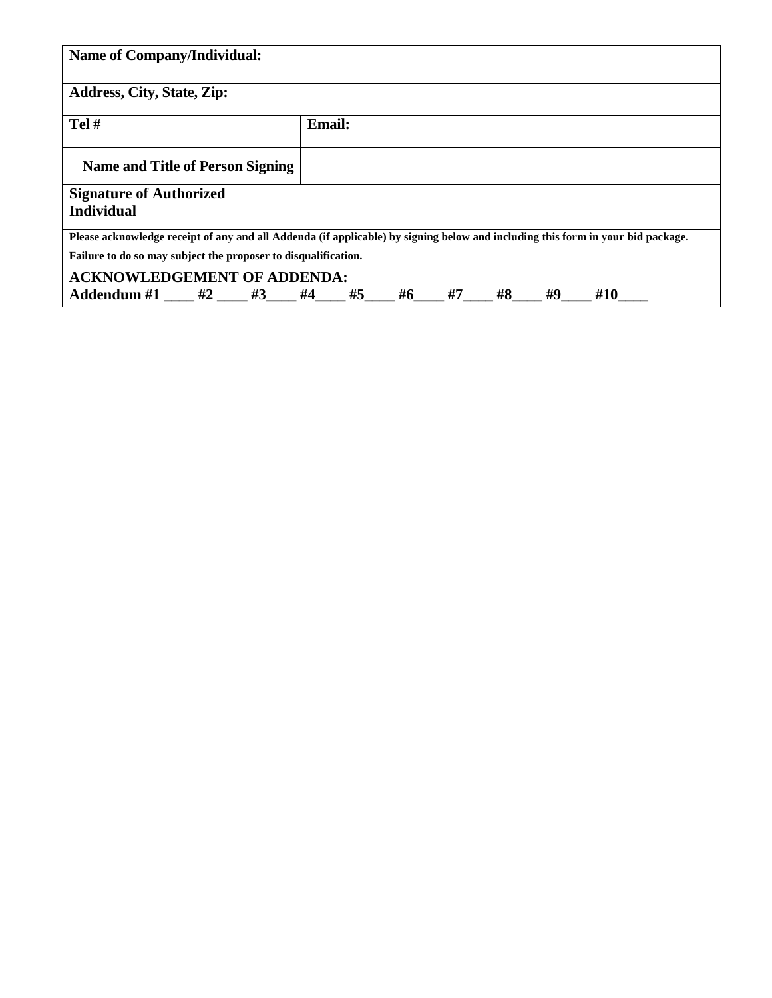| <b>Name of Company/Individual:</b>                                                                                              |  |  |               |  |       |    |    |    |     |  |
|---------------------------------------------------------------------------------------------------------------------------------|--|--|---------------|--|-------|----|----|----|-----|--|
| <b>Address, City, State, Zip:</b>                                                                                               |  |  |               |  |       |    |    |    |     |  |
| Tel#                                                                                                                            |  |  | <b>Email:</b> |  |       |    |    |    |     |  |
| Name and Title of Person Signing                                                                                                |  |  |               |  |       |    |    |    |     |  |
| <b>Signature of Authorized</b><br><b>Individual</b>                                                                             |  |  |               |  |       |    |    |    |     |  |
| Please acknowledge receipt of any and all Addenda (if applicable) by signing below and including this form in your bid package. |  |  |               |  |       |    |    |    |     |  |
| Failure to do so may subject the proposer to disqualification.                                                                  |  |  |               |  |       |    |    |    |     |  |
| <b>ACKNOWLEDGEMENT OF ADDENDA:</b>                                                                                              |  |  |               |  |       |    |    |    |     |  |
| Addendum #1 $\qquad$ #2 $\qquad$ #3 $\qquad$ #4 $\qquad$ #5                                                                     |  |  |               |  | $\#6$ | #7 | #8 | #9 | #10 |  |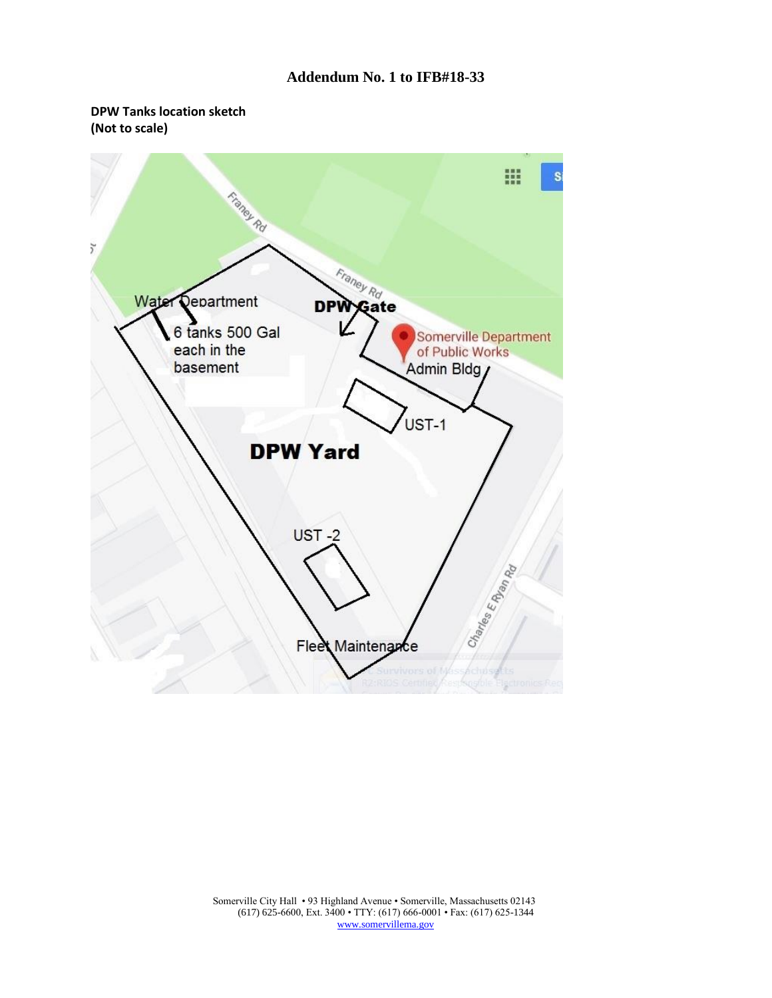### **Addendum No. 1 to IFB#18-33**

### **DPW Tanks location sketch (Not to scale)**



Somerville City Hall • 93 Highland Avenue • Somerville, Massachusetts 02143 (617) 625-6600, Ext. 3400 • TTY: (617) 666-0001 • Fax: (617) 625-1344 [www.somervillema.gov](http://www.somervillema.gov/)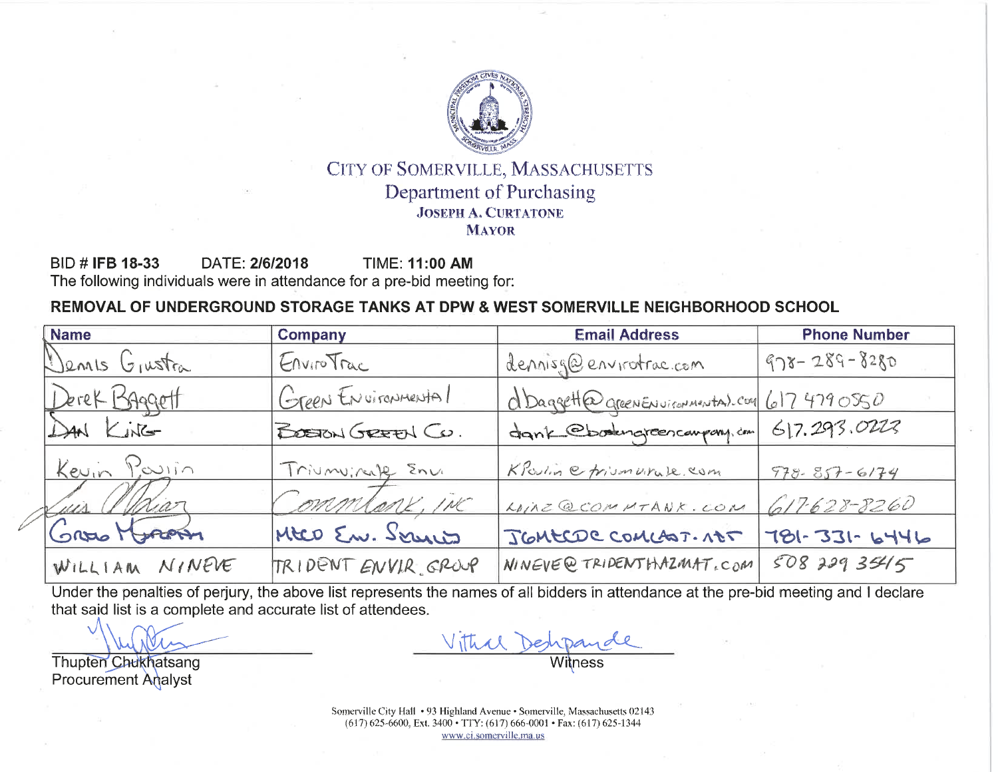

## CITY OF SOMERVILLE, MASSACHUSETTS **Department of Purchasing JOSEPH A. CURTATONE MAYOR**

**BID # IFB 18-33** DATE: 2/6/2018 **TIME: 11:00 AM** The following individuals were in attendance for a pre-bid meeting for:

# REMOVAL OF UNDERGROUND STORAGE TANKS AT DPW & WEST SOMERVILLE NEIGHBORHOOD SCHOOL

| <b>Name</b>    | <b>Company</b>      | <b>Email Address</b>                          | <b>Phone Number</b> |
|----------------|---------------------|-----------------------------------------------|---------------------|
| Dennis Grustra | EnviroTrac          | dennisg@envirotrac.com                        | $978 - 289 - 8280$  |
| Derek Baggett  | Green Environmental | d Daggett@ greenENvironmental.com 617 4790550 |                     |
| DAN KING       | BOSTON GREEN CO.    | dank ebodingreen campony, cm                  | 617.293.0223        |
| Kevin Pavin    | Triumv: ruff Env    | KParline friumvirule.com                      | $978.857 - 6174$    |
| Luis Whiar     | Commlanx, inc       | LOIRE QCOMMTANK.COM                           | 617628-8260         |
| Gross Horom    | MEO En. Servico     | JEMECDE COMLEST. NOT                          | $781 - 331 - 6446$  |
| WILLIAM NINEVE | TRIDENT ENVIR GROUP | NINEVE@TRIDENTHAZMAT.COM                      | 508 229 35415       |

Under the penalties of perjury, the above list represents the names of all bidders in attendance at the pre-bid meeting and I declare that said list is a complete and accurate list of attendees.

**Thupten Chukhatsang Procurement Analyst** 

Somerville City Hall • 93 Highland Avenue • Somerville, Massachusetts 02143  $(617)$  625-6600, Ext. 3400 • TTY: (617) 666-0001 • Fax: (617) 625-1344 www.ci.somerville.ma.us